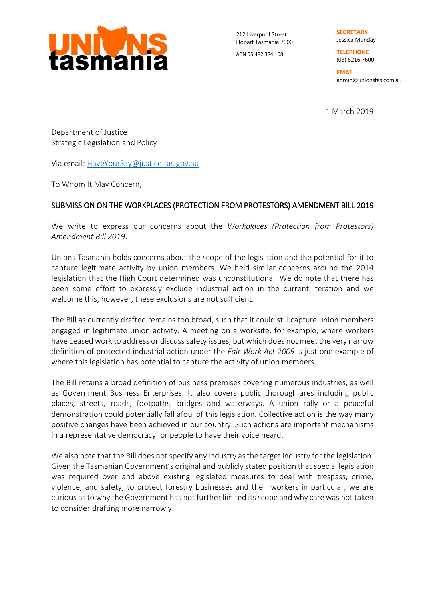

212 Liverpool Street Hobart Tasmania 7000

ABN 55 482 384 108

**SECRETARY**  Jessica Munday

**TELEPHONE**  (03) 6216 7600

**EMAIL**  admin@unionstas.com.au

1 March 2019

Department of Justice Strategic Legislation and Policy

Via email: [HaveYourSay@justice.tas.gov.au](mailto:HaveYourSay@justice.tas.gov.au)

To Whom It May Concern,

## SUBMISSION ON THE WORKPLACES (PROTECTION FROM PROTESTORS) AMENDMENT BILL 2019

We write to express our concerns about the *Workplaces (Protection from Protestors) Amendment Bill 2019*.

Unions Tasmania holds concerns about the scope of the legislation and the potential for it to capture legitimate activity by union members. We held similar concerns around the 2014 legislation that the High Court determined was unconstitutional. We do note that there has been some effort to expressly exclude industrial action in the current iteration and we welcome this, however, these exclusions are not sufficient.

The Bill as currently drafted remains too broad, such that it could still capture union members engaged in legitimate union activity. A meeting on a worksite, for example, where workers have ceased work to address or discuss safety issues, but which does not meet the very narrow definition of protected industrial action under the *Fair Work Act 2009* is just one example of where this legislation has potential to capture the activity of union members.

The Bill retains a broad definition of business premises covering numerous industries, as well as Government Business Enterprises. It also covers public thoroughfares including public places, streets, roads, footpaths, bridges and waterways. A union rally or a peaceful demonstration could potentially fall afoul of this legislation. Collective action is the way many positive changes have been achieved in our country. Such actions are important mechanisms in a representative democracy for people to have their voice heard.

We also note that the Bill does not specify any industry as the target industry for the legislation. Given the Tasmanian Government's original and publicly stated position that special legislation was required over and above existing legislated measures to deal with trespass, crime, violence, and safety, to protect forestry businesses and their workers in particular, we are curious as to why the Government has not further limited its scope and why care was not taken to consider drafting more narrowly.